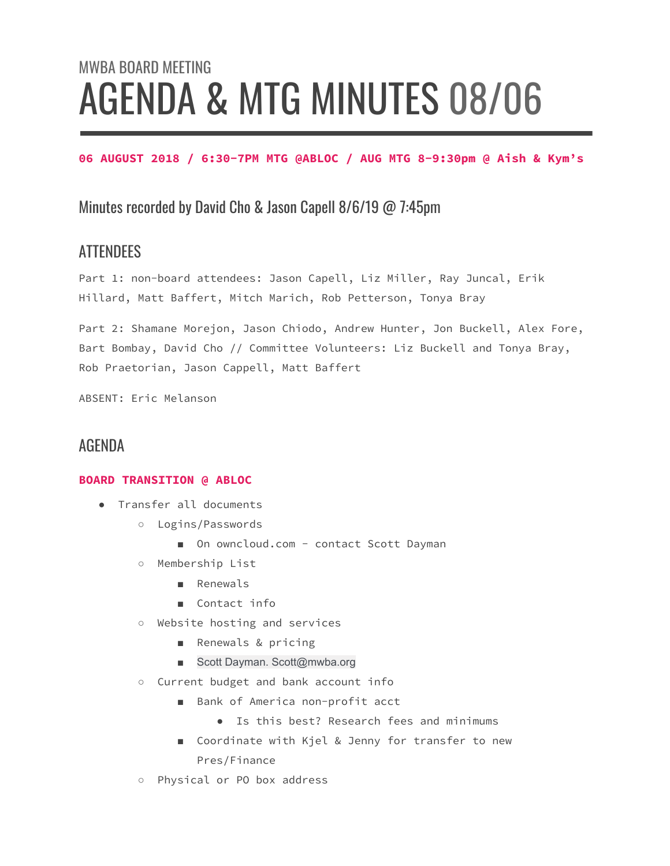# MWBA BOARD MEETING AGENDA & MTG MINUTES 08/06

#### **06 AUGUST 2018 / 6:30-7PM MTG @ABLOC / AUG MTG 8-9:30pm @ Aish & Kym's**

## Minutes recorded by David Cho & Jason Capell 8/6/19 @ 7:45pm

## **ATTENDEES**

Part 1: non-board attendees: Jason Capell, Liz Miller, Ray Juncal, Erik Hillard, Matt Baffert, Mitch Marich, Rob Petterson, Tonya Bray

Part 2: Shamane Morejon, Jason Chiodo, Andrew Hunter, Jon Buckell, Alex Fore, Bart Bombay, David Cho // Committee Volunteers: Liz Buckell and Tonya Bray, Rob Praetorian, Jason Cappell, Matt Baffert

ABSENT: Eric Melanson

#### AGENDA

#### **BOARD TRANSITION @ ABLOC**

- Transfer all documents
	- Logins/Passwords
		- On owncloud.com contact Scott Dayman
	- Membership List
		- Renewals
		- Contact info
	- Website hosting and services
		- Renewals & pricing
		- Scott Dayman. Scott@mwba.org
	- Current budget and bank account info
		- Bank of America non-profit acct
			- Is this best? Research fees and minimums
		- Coordinate with Kjel & Jenny for transfer to new Pres/Finance
	- Physical or PO box address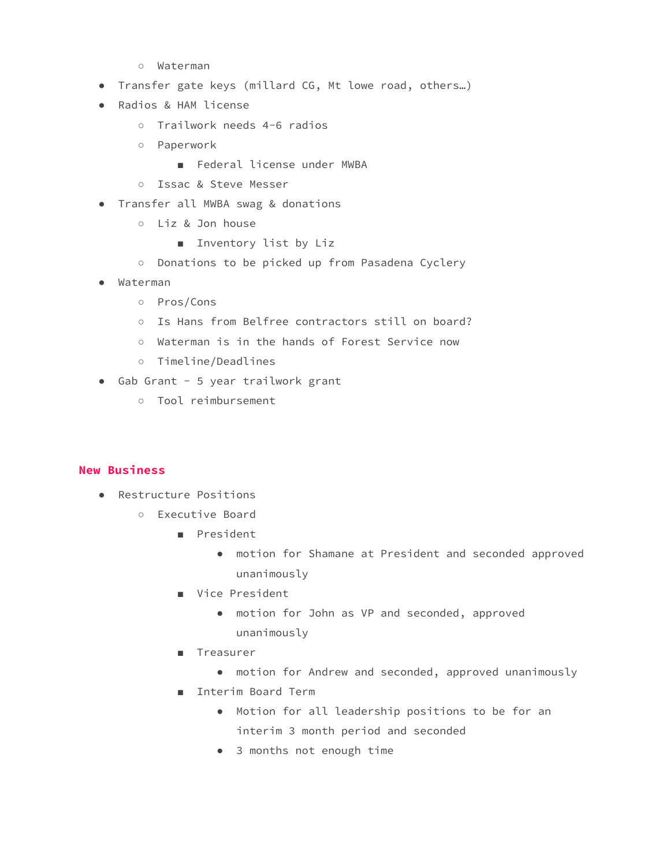- Waterman
- Transfer gate keys (millard CG, Mt lowe road, others…)
- Radios & HAM license
	- Trailwork needs 4-6 radios
	- Paperwork
		- Federal license under MWBA
	- Issac & Steve Messer
- Transfer all MWBA swag & donations
	- Liz & Jon house
		- Inventory list by Liz
	- Donations to be picked up from Pasadena Cyclery
- Waterman
	- Pros/Cons
	- Is Hans from Belfree contractors still on board?
	- Waterman is in the hands of Forest Service now
	- Timeline/Deadlines
- Gab Grant 5 year trailwork grant
	- Tool reimbursement

#### **New Business**

- Restructure Positions
	- Executive Board
		- President
			- motion for Shamane at President and seconded approved unanimously
		- Vice President
			- motion for John as VP and seconded, approved unanimously
		- Treasurer
			- motion for Andrew and seconded, approved unanimously
		- Interim Board Term
			- Motion for all leadership positions to be for an interim 3 month period and seconded
			- 3 months not enough time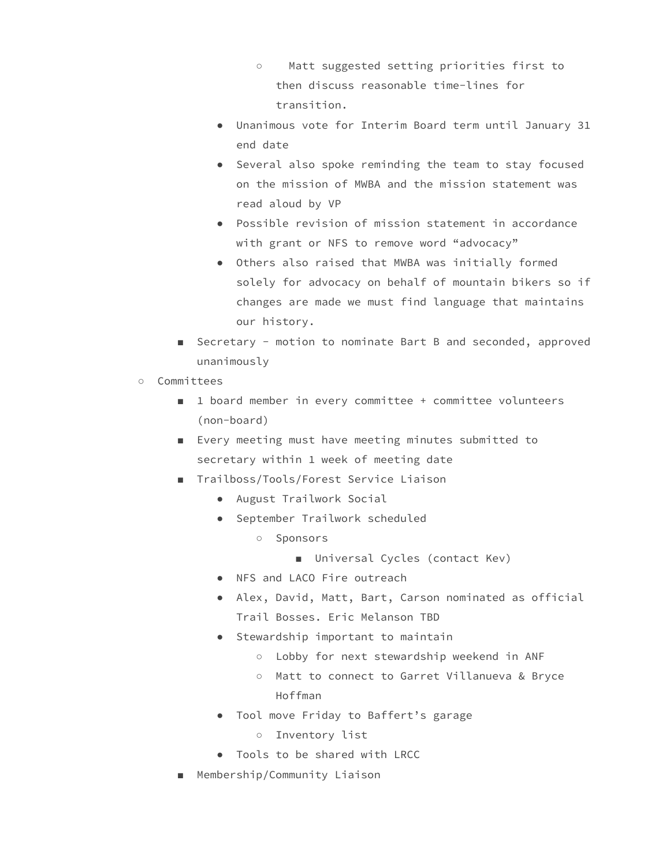- Matt suggested setting priorities first to then discuss reasonable time-lines for transition.
- Unanimous vote for Interim Board term until January 31 end date
- Several also spoke reminding the team to stay focused on the mission of MWBA and the mission statement was read aloud by VP
- Possible revision of mission statement in accordance with grant or NFS to remove word "advocacy"
- Others also raised that MWBA was initially formed solely for advocacy on behalf of mountain bikers so if changes are made we must find language that maintains our history.
- Secretary motion to nominate Bart B and seconded, approved unanimously
- Committees
	- 1 board member in every committee + committee volunteers (non-board)
	- Every meeting must have meeting minutes submitted to secretary within 1 week of meeting date
	- Trailboss/Tools/Forest Service Liaison
		- August Trailwork Social
		- September Trailwork scheduled
			- Sponsors
				- Universal Cycles (contact Kev)
		- NFS and LACO Fire outreach
		- Alex, David, Matt, Bart, Carson nominated as official Trail Bosses. Eric Melanson TBD
		- Stewardship important to maintain
			- Lobby for next stewardship weekend in ANF
			- Matt to connect to Garret Villanueva & Bryce Hoffman
		- Tool move Friday to Baffert's garage
			- Inventory list
		- Tools to be shared with LRCC
	- Membership/Community Liaison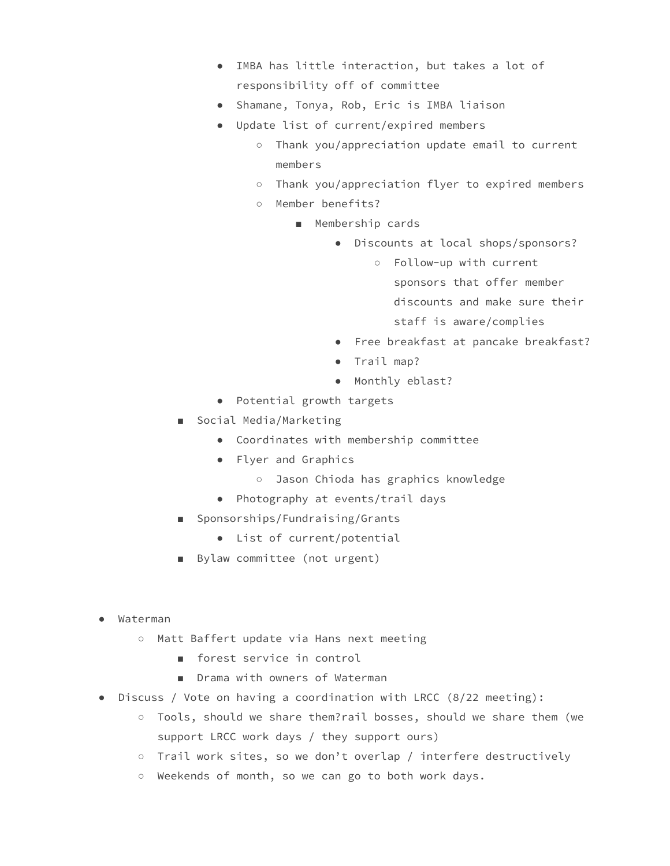- IMBA has little interaction, but takes a lot of responsibility off of committee
- Shamane, Tonya, Rob, Eric is IMBA liaison
- Update list of current/expired members
	- Thank you/appreciation update email to current members
	- Thank you/appreciation flyer to expired members
	- Member benefits?
		- Membership cards
			- Discounts at local shops/sponsors?
				- Follow-up with current sponsors that offer member discounts and make sure their staff is aware/complies
			- Free breakfast at pancake breakfast?
			- Trail map?
			- Monthly eblast?
- Potential growth targets
- Social Media/Marketing
	- Coordinates with membership committee
	- Flyer and Graphics
		- Jason Chioda has graphics knowledge
	- Photography at events/trail days
- Sponsorships/Fundraising/Grants
	- List of current/potential
- Bylaw committee (not urgent)
- Waterman
	- Matt Baffert update via Hans next meeting
		- forest service in control
		- Drama with owners of Waterman
- Discuss / Vote on having a coordination with LRCC (8/22 meeting):
	- Tools, should we share them?rail bosses, should we share them (we support LRCC work days / they support ours)
	- Trail work sites, so we don't overlap / interfere destructively
	- Weekends of month, so we can go to both work days.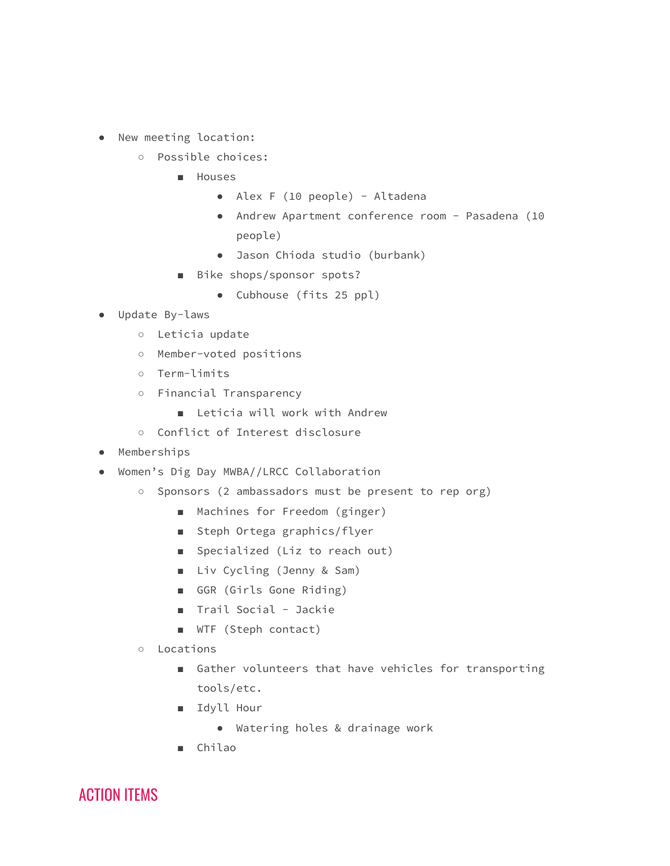- New meeting location:
	- Possible choices:
		- Houses
			- Alex F (10 people) Altadena
			- Andrew Apartment conference room Pasadena (10 people)
			- Jason Chioda studio (burbank)
		- Bike shops/sponsor spots?
			- Cubhouse (fits 25 ppl)
- Update By-laws
	- Leticia update
	- Member-voted positions
	- Term-limits
	- Financial Transparency
		- Leticia will work with Andrew
	- Conflict of Interest disclosure
- Memberships
- Women's Dig Day MWBA//LRCC Collaboration
	- Sponsors (2 ambassadors must be present to rep org)
		- Machines for Freedom (ginger)
		- Steph Ortega graphics/flyer
		- Specialized (Liz to reach out)
		- Liv Cycling (Jenny & Sam)
		- GGR (Girls Gone Riding)
		- Trail Social Jackie
		- WTF (Steph contact)
	- Locations
		- Gather volunteers that have vehicles for transporting tools/etc.
		- Idyll Hour
			- Watering holes & drainage work
		- Chilao

ACTION ITEMS